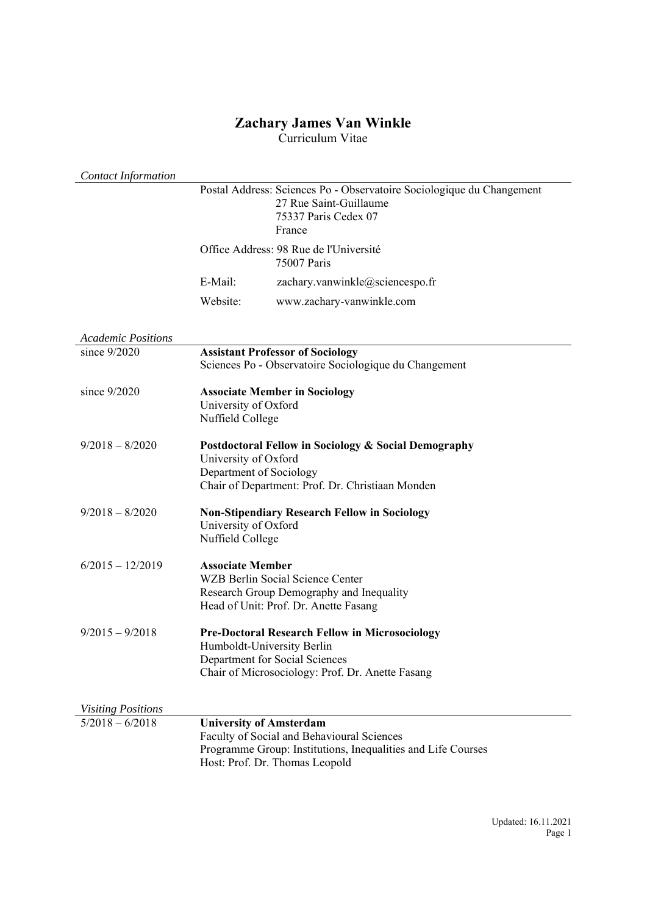# **Zachary James Van Winkle**

Curriculum Vitae

| <b>Contact Information</b> |                                                 |                                                                                                                                              |
|----------------------------|-------------------------------------------------|----------------------------------------------------------------------------------------------------------------------------------------------|
|                            |                                                 | Postal Address: Sciences Po - Observatoire Sociologique du Changement<br>27 Rue Saint-Guillaume<br>75337 Paris Cedex 07<br>France            |
|                            |                                                 | Office Address: 98 Rue de l'Université<br>75007 Paris                                                                                        |
|                            | E-Mail:                                         | zachary.vanwinkle@sciencespo.fr                                                                                                              |
|                            | Website:                                        | www.zachary-vanwinkle.com                                                                                                                    |
| <b>Academic Positions</b>  |                                                 |                                                                                                                                              |
| since 9/2020               |                                                 | <b>Assistant Professor of Sociology</b><br>Sciences Po - Observatoire Sociologique du Changement                                             |
| since $9/2020$             | University of Oxford<br>Nuffield College        | <b>Associate Member in Sociology</b>                                                                                                         |
| $9/2018 - 8/2020$          | University of Oxford<br>Department of Sociology | Postdoctoral Fellow in Sociology & Social Demography<br>Chair of Department: Prof. Dr. Christiaan Monden                                     |
| $9/2018 - 8/2020$          | University of Oxford<br>Nuffield College        | <b>Non-Stipendiary Research Fellow in Sociology</b>                                                                                          |
| $6/2015 - 12/2019$         | <b>Associate Member</b>                         | WZB Berlin Social Science Center<br>Research Group Demography and Inequality<br>Head of Unit: Prof. Dr. Anette Fasang                        |
| $9/2015 - 9/2018$          | Humboldt-University Berlin                      | <b>Pre-Doctoral Research Fellow in Microsociology</b><br>Department for Social Sciences<br>Chair of Microsociology: Prof. Dr. Anette Fasang  |
| <b>Visiting Positions</b>  |                                                 |                                                                                                                                              |
| $5/2018 - 6/2018$          | <b>University of Amsterdam</b>                  | Faculty of Social and Behavioural Sciences<br>Programme Group: Institutions, Inequalities and Life Courses<br>Host: Prof. Dr. Thomas Leopold |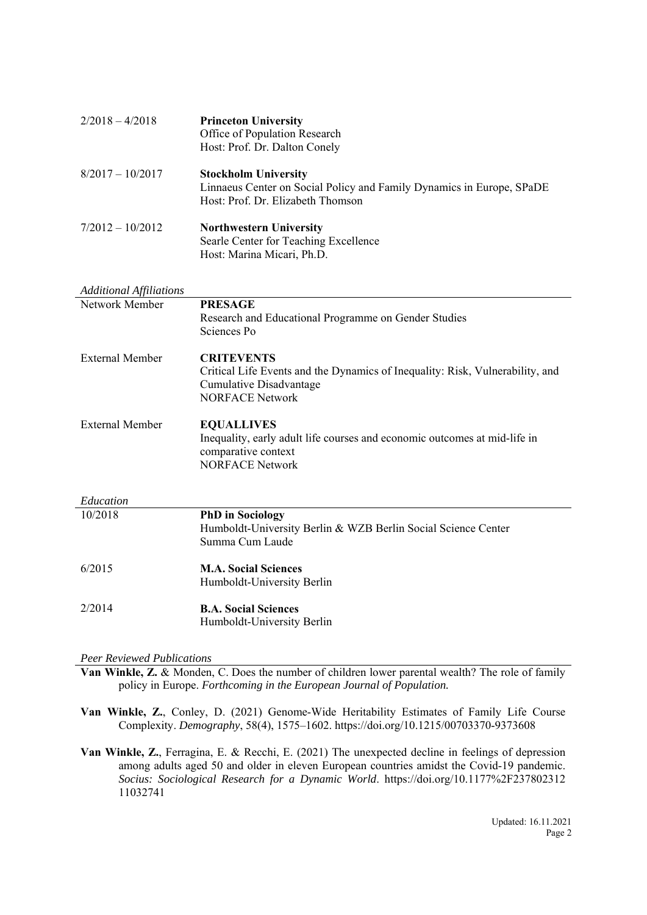| $2/2018 - 4/2018$  | <b>Princeton University</b><br>Office of Population Research<br>Host: Prof. Dr. Dalton Conely                                             |
|--------------------|-------------------------------------------------------------------------------------------------------------------------------------------|
| $8/2017 - 10/2017$ | <b>Stockholm University</b><br>Linnaeus Center on Social Policy and Family Dynamics in Europe, SPaDE<br>Host: Prof. Dr. Elizabeth Thomson |
| $7/2012 - 10/2012$ | <b>Northwestern University</b><br>Searle Center for Teaching Excellence<br>Host: Marina Micari, Ph.D.                                     |

| <b>Additional Affiliations</b> |                                                                                                                                                         |
|--------------------------------|---------------------------------------------------------------------------------------------------------------------------------------------------------|
| Network Member                 | <b>PRESAGE</b><br>Research and Educational Programme on Gender Studies                                                                                  |
|                                | Sciences Po                                                                                                                                             |
| External Member                | <b>CRITEVENTS</b><br>Critical Life Events and the Dynamics of Inequality: Risk, Vulnerability, and<br>Cumulative Disadvantage<br><b>NORFACE Network</b> |
| External Member                | <b>EQUALLIVES</b><br>Inequality, early adult life courses and economic outcomes at mid-life in<br>comparative context<br><b>NORFACE Network</b>         |

| Education |                                                               |
|-----------|---------------------------------------------------------------|
| 10/2018   | <b>PhD</b> in Sociology                                       |
|           | Humboldt-University Berlin & WZB Berlin Social Science Center |
|           | Summa Cum Laude                                               |
| 6/2015    | <b>M.A. Social Sciences</b>                                   |
|           | Humboldt-University Berlin                                    |
| 2/2014    | <b>B.A. Social Sciences</b>                                   |
|           | Humboldt-University Berlin                                    |

### *Peer Reviewed Publications*

**Van Winkle, Z.** & Monden, C. Does the number of children lower parental wealth? The role of family policy in Europe. *Forthcoming in the European Journal of Population.* 

**Van Winkle, Z.**, Conley, D. (2021) Genome-Wide Heritability Estimates of Family Life Course Complexity. *Demography*, 58(4), 1575–1602. https://doi.org/10.1215/00703370-9373608

**Van Winkle, Z.**, Ferragina, E. & Recchi, E. (2021) The unexpected decline in feelings of depression among adults aged 50 and older in eleven European countries amidst the Covid-19 pandemic. *Socius: Sociological Research for a Dynamic World*. https://doi.org/10.1177%2F237802312 11032741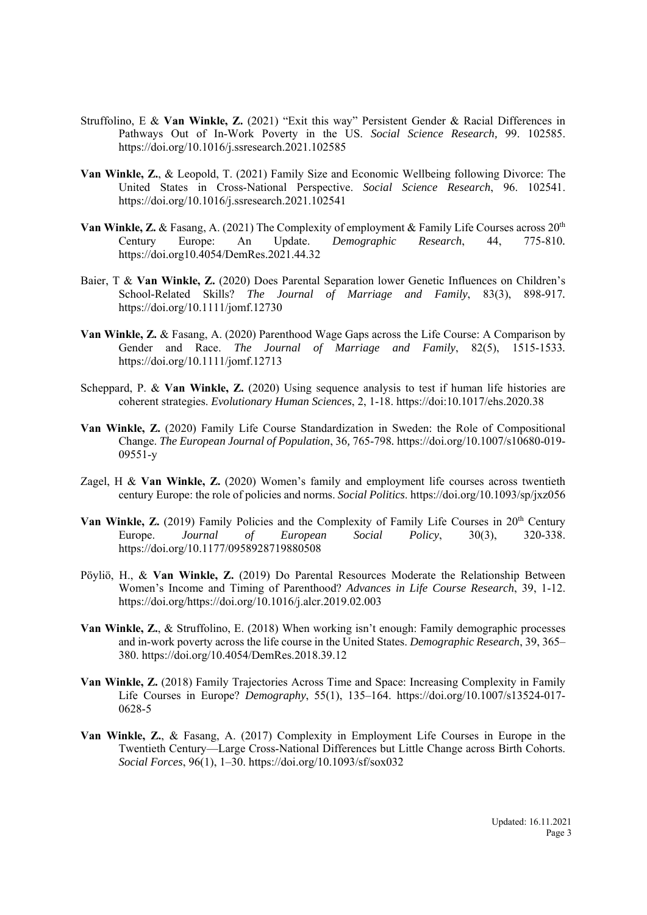- Struffolino, E & **Van Winkle, Z.** (2021) "Exit this way" Persistent Gender & Racial Differences in Pathways Out of In-Work Poverty in the US. *Social Science Research,* 99. 102585. https://doi.org/10.1016/j.ssresearch.2021.102585
- **Van Winkle, Z.**, & Leopold, T. (2021) Family Size and Economic Wellbeing following Divorce: The United States in Cross-National Perspective. *Social Science Research*, 96. 102541. https://doi.org/10.1016/j.ssresearch.2021.102541
- Van Winkle, Z. & Fasang, A. (2021) The Complexity of employment & Family Life Courses across 20<sup>th</sup> Century Europe: An Update. *Demographic Research*, 44, 775-810*.*  https://doi.org10.4054/DemRes.2021.44.32
- Baier, T & **Van Winkle, Z.** (2020) Does Parental Separation lower Genetic Influences on Children's School-Related Skills? *The Journal of Marriage and Family*, 83(3), 898-917*.*  https://doi.org/10.1111/jomf.12730
- **Van Winkle, Z.** & Fasang, A. (2020) Parenthood Wage Gaps across the Life Course: A Comparison by Gender and Race. *The Journal of Marriage and Family*, 82(5), 1515-1533*.* https://doi.org/10.1111/jomf.12713
- Scheppard, P. & **Van Winkle, Z.** (2020) Using sequence analysis to test if human life histories are coherent strategies. *Evolutionary Human Sciences*, 2, 1-18. https://doi:10.1017/ehs.2020.38
- **Van Winkle, Z.** (2020) Family Life Course Standardization in Sweden: the Role of Compositional Change. *The European Journal of Population*, 36*,* 765-798*.* https://doi.org/10.1007/s10680-019- 09551-y
- Zagel, H & **Van Winkle, Z.** (2020) Women's family and employment life courses across twentieth century Europe: the role of policies and norms. *Social Politics*. https://doi.org/10.1093/sp/jxz056
- **Van Winkle, Z.** (2019) Family Policies and the Complexity of Family Life Courses in 20<sup>th</sup> Century Europe. *Journal of European Social Policy*, 30(3), 320-338. https://doi.org/10.1177/0958928719880508
- Pöyliö, H., & **Van Winkle, Z.** (2019) Do Parental Resources Moderate the Relationship Between Women's Income and Timing of Parenthood? *Advances in Life Course Research*, 39, 1-12. https://doi.org/https://doi.org/10.1016/j.alcr.2019.02.003
- **Van Winkle, Z.**, & Struffolino, E. (2018) When working isn't enough: Family demographic processes and in-work poverty across the life course in the United States. *Demographic Research*, 39, 365– 380. https://doi.org/10.4054/DemRes.2018.39.12
- **Van Winkle, Z.** (2018) Family Trajectories Across Time and Space: Increasing Complexity in Family Life Courses in Europe? *Demography*, 55(1), 135–164. https://doi.org/10.1007/s13524-017- 0628-5
- **Van Winkle, Z.**, & Fasang, A. (2017) Complexity in Employment Life Courses in Europe in the Twentieth Century—Large Cross-National Differences but Little Change across Birth Cohorts. *Social Forces*, 96(1), 1–30. https://doi.org/10.1093/sf/sox032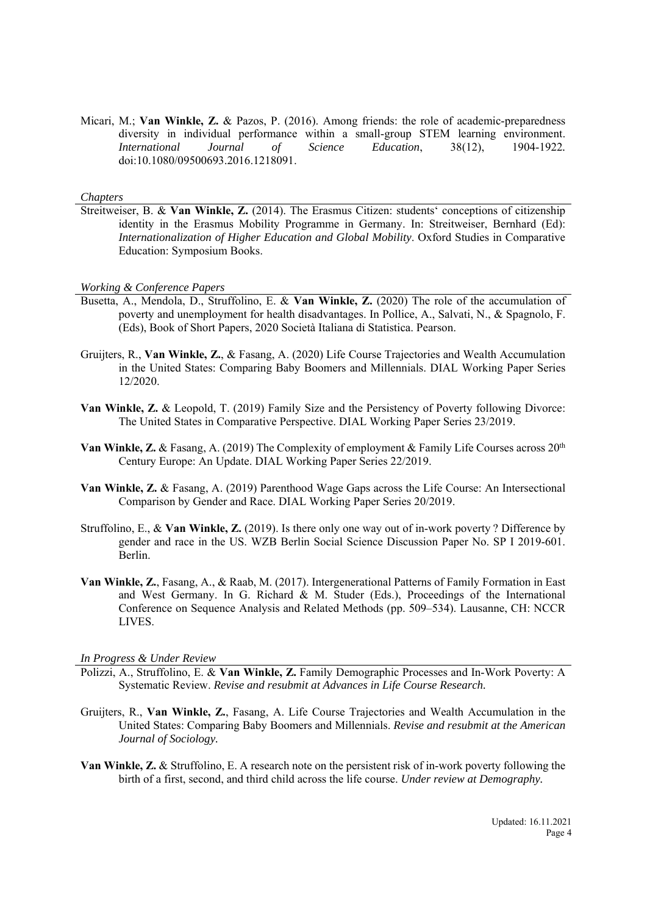Micari, M.; **Van Winkle, Z.** & Pazos, P. (2016). Among friends: the role of academic-preparedness diversity in individual performance within a small-group STEM learning environment. *International Journal of Science Education*, 38(12), 1904-1922*.*  doi:10.1080/09500693.2016.1218091.

#### *Chapters*

Streitweiser, B. & **Van Winkle, Z.** (2014). The Erasmus Citizen: students' conceptions of citizenship identity in the Erasmus Mobility Programme in Germany. In: Streitweiser, Bernhard (Ed): *Internationalization of Higher Education and Global Mobility*. Oxford Studies in Comparative Education: Symposium Books.

*Working & Conference Papers*

- Busetta, A., Mendola, D., Struffolino, E. & **Van Winkle, Z.** (2020) The role of the accumulation of poverty and unemployment for health disadvantages. In Pollice, A., Salvati, N., & Spagnolo, F. (Eds), Book of Short Papers, 2020 Società Italiana di Statistica. Pearson.
- Gruijters, R., **Van Winkle, Z.**, & Fasang, A. (2020) Life Course Trajectories and Wealth Accumulation in the United States: Comparing Baby Boomers and Millennials. DIAL Working Paper Series 12/2020.
- **Van Winkle, Z.** & Leopold, T. (2019) Family Size and the Persistency of Poverty following Divorce: The United States in Comparative Perspective. DIAL Working Paper Series 23/2019.
- **Van Winkle, Z. & Fasang, A. (2019) The Complexity of employment & Family Life Courses across 20<sup>th</sup>** Century Europe: An Update. DIAL Working Paper Series 22/2019.
- **Van Winkle, Z.** & Fasang, A. (2019) Parenthood Wage Gaps across the Life Course: An Intersectional Comparison by Gender and Race. DIAL Working Paper Series 20/2019.
- Struffolino, E., & **Van Winkle, Z.** (2019). Is there only one way out of in-work poverty ? Difference by gender and race in the US. WZB Berlin Social Science Discussion Paper No. SP I 2019-601. Berlin.
- **Van Winkle, Z.**, Fasang, A., & Raab, M. (2017). Intergenerational Patterns of Family Formation in East and West Germany. In G. Richard & M. Studer (Eds.), Proceedings of the International Conference on Sequence Analysis and Related Methods (pp. 509–534). Lausanne, CH: NCCR LIVES.

*In Progress & Under Review*

- Polizzi, A., Struffolino, E. & **Van Winkle, Z.** Family Demographic Processes and In-Work Poverty: A Systematic Review. *Revise and resubmit at Advances in Life Course Research.*
- Gruijters, R., **Van Winkle, Z.**, Fasang, A. Life Course Trajectories and Wealth Accumulation in the United States: Comparing Baby Boomers and Millennials. *Revise and resubmit at the American Journal of Sociology.*
- **Van Winkle, Z.** & Struffolino, E. A research note on the persistent risk of in-work poverty following the birth of a first, second, and third child across the life course. *Under review at Demography.*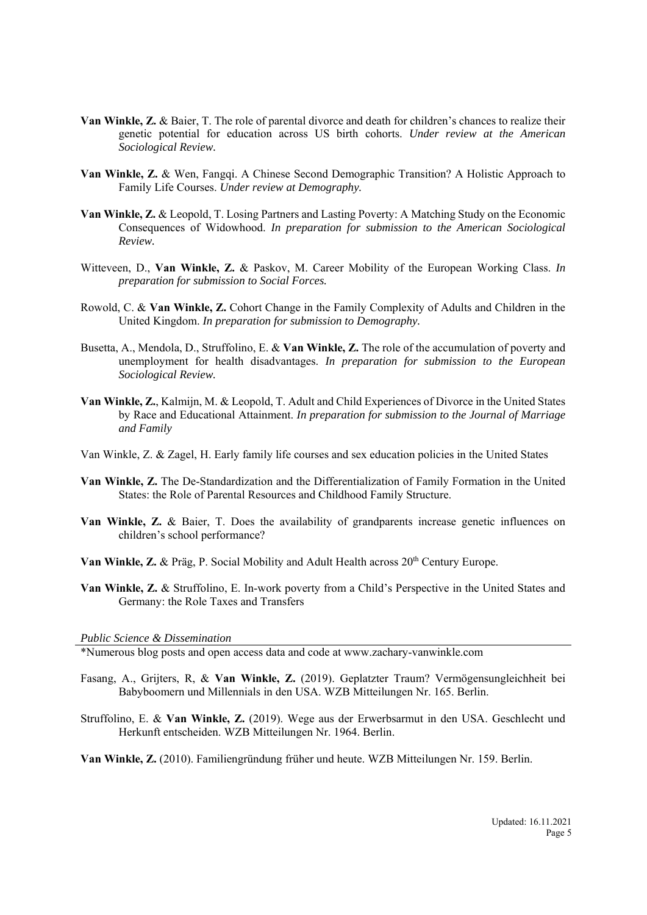- **Van Winkle, Z.** & Baier, T. The role of parental divorce and death for children's chances to realize their genetic potential for education across US birth cohorts. *Under review at the American Sociological Review.*
- **Van Winkle, Z.** & Wen, Fangqi. A Chinese Second Demographic Transition? A Holistic Approach to Family Life Courses. *Under review at Demography.*
- **Van Winkle, Z.** & Leopold, T. Losing Partners and Lasting Poverty: A Matching Study on the Economic Consequences of Widowhood. *In preparation for submission to the American Sociological Review.*
- Witteveen, D., **Van Winkle, Z.** & Paskov, M. Career Mobility of the European Working Class. *In preparation for submission to Social Forces.*
- Rowold, C. & **Van Winkle, Z.** Cohort Change in the Family Complexity of Adults and Children in the United Kingdom. *In preparation for submission to Demography.*
- Busetta, A., Mendola, D., Struffolino, E. & **Van Winkle, Z.** The role of the accumulation of poverty and unemployment for health disadvantages. *In preparation for submission to the European Sociological Review.*
- **Van Winkle, Z.**, Kalmijn, M. & Leopold, T. Adult and Child Experiences of Divorce in the United States by Race and Educational Attainment. *In preparation for submission to the Journal of Marriage and Family*
- Van Winkle, Z. & Zagel, H. Early family life courses and sex education policies in the United States
- **Van Winkle, Z.** The De-Standardization and the Differentialization of Family Formation in the United States: the Role of Parental Resources and Childhood Family Structure.
- **Van Winkle, Z.** & Baier, T. Does the availability of grandparents increase genetic influences on children's school performance?
- **Van Winkle, Z. & Präg, P. Social Mobility and Adult Health across 20<sup>th</sup> Century Europe.**
- **Van Winkle, Z.** & Struffolino, E. In-work poverty from a Child's Perspective in the United States and Germany: the Role Taxes and Transfers

*Public Science & Dissemination*

\*Numerous blog posts and open access data and code at www.zachary-vanwinkle.com

- Fasang, A., Grijters, R, & **Van Winkle, Z.** (2019). Geplatzter Traum? Vermögensungleichheit bei Babyboomern und Millennials in den USA. WZB Mitteilungen Nr. 165. Berlin.
- Struffolino, E. & **Van Winkle, Z.** (2019). Wege aus der Erwerbsarmut in den USA. Geschlecht und Herkunft entscheiden. WZB Mitteilungen Nr. 1964. Berlin.

**Van Winkle, Z.** (2010). Familiengründung früher und heute. WZB Mitteilungen Nr. 159. Berlin.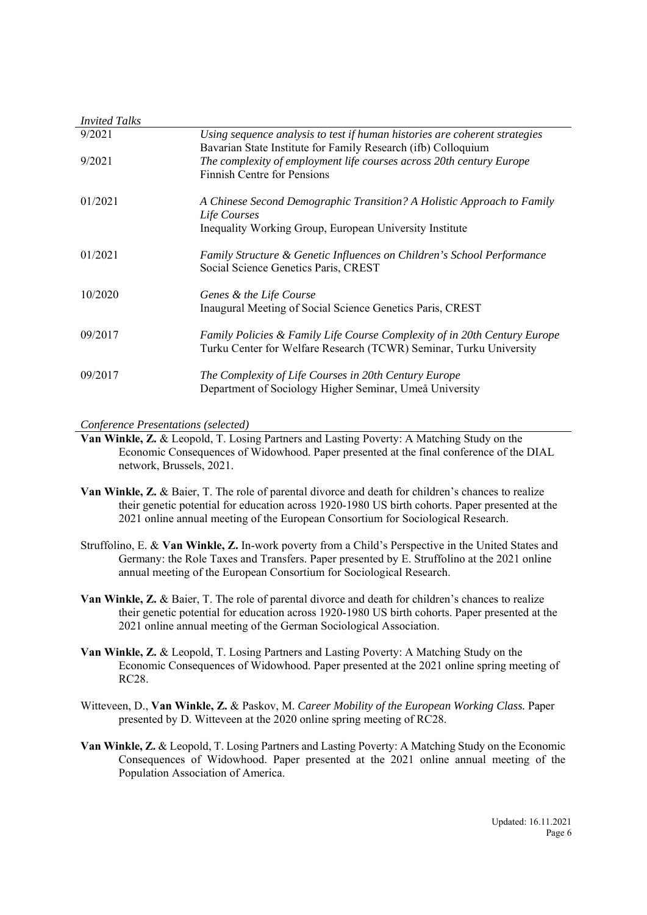| <i>Invited Talks</i> |                                                                                                                                                   |
|----------------------|---------------------------------------------------------------------------------------------------------------------------------------------------|
| 9/2021               | Using sequence analysis to test if human histories are coherent strategies<br>Bavarian State Institute for Family Research (ifb) Colloquium       |
| 9/2021               | The complexity of employment life courses across 20th century Europe<br><b>Finnish Centre for Pensions</b>                                        |
| 01/2021              | A Chinese Second Demographic Transition? A Holistic Approach to Family<br>Life Courses<br>Inequality Working Group, European University Institute |
| 01/2021              | Family Structure & Genetic Influences on Children's School Performance<br>Social Science Genetics Paris, CREST                                    |
| 10/2020              | Genes & the Life Course<br>Inaugural Meeting of Social Science Genetics Paris, CREST                                                              |
| 09/2017              | Family Policies & Family Life Course Complexity of in 20th Century Europe<br>Turku Center for Welfare Research (TCWR) Seminar, Turku University   |
| 09/2017              | The Complexity of Life Courses in 20th Century Europe<br>Department of Sociology Higher Seminar, Umeå University                                  |

*Conference Presentations (selected)*

**Van Winkle, Z.** & Leopold, T. Losing Partners and Lasting Poverty: A Matching Study on the Economic Consequences of Widowhood. Paper presented at the final conference of the DIAL network, Brussels, 2021.

- **Van Winkle, Z.** & Baier, T. The role of parental divorce and death for children's chances to realize their genetic potential for education across 1920-1980 US birth cohorts. Paper presented at the 2021 online annual meeting of the European Consortium for Sociological Research.
- Struffolino, E. & **Van Winkle, Z.** In-work poverty from a Child's Perspective in the United States and Germany: the Role Taxes and Transfers. Paper presented by E. Struffolino at the 2021 online annual meeting of the European Consortium for Sociological Research.
- **Van Winkle, Z.** & Baier, T. The role of parental divorce and death for children's chances to realize their genetic potential for education across 1920-1980 US birth cohorts. Paper presented at the 2021 online annual meeting of the German Sociological Association.
- **Van Winkle, Z.** & Leopold, T. Losing Partners and Lasting Poverty: A Matching Study on the Economic Consequences of Widowhood. Paper presented at the 2021 online spring meeting of RC28.
- Witteveen, D., **Van Winkle, Z.** & Paskov, M. *Career Mobility of the European Working Class.* Paper presented by D. Witteveen at the 2020 online spring meeting of RC28.
- **Van Winkle, Z.** & Leopold, T. Losing Partners and Lasting Poverty: A Matching Study on the Economic Consequences of Widowhood. Paper presented at the 2021 online annual meeting of the Population Association of America.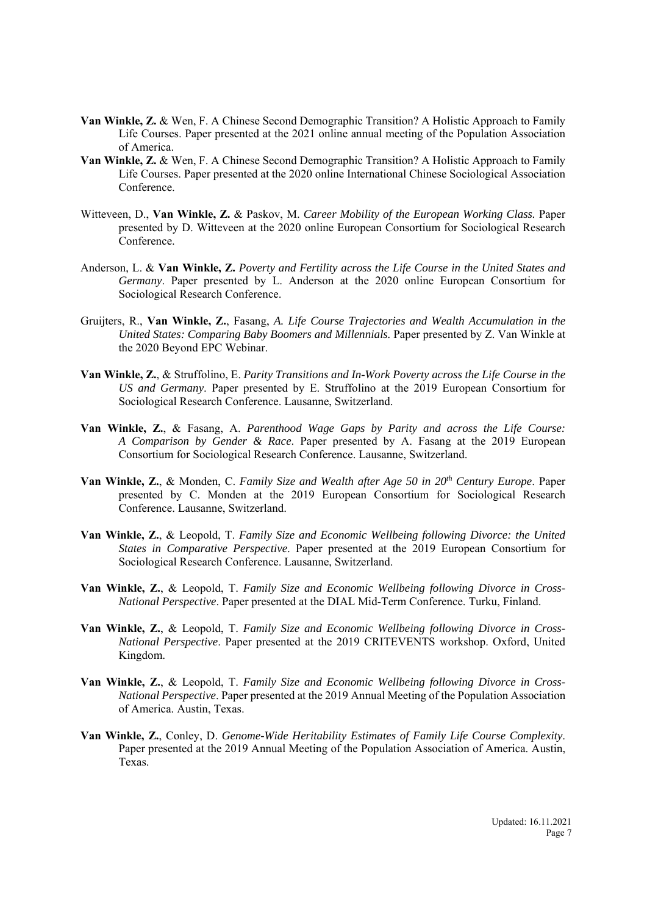- **Van Winkle, Z.** & Wen, F. A Chinese Second Demographic Transition? A Holistic Approach to Family Life Courses. Paper presented at the 2021 online annual meeting of the Population Association of America.
- **Van Winkle, Z.** & Wen, F. A Chinese Second Demographic Transition? A Holistic Approach to Family Life Courses. Paper presented at the 2020 online International Chinese Sociological Association Conference.
- Witteveen, D., **Van Winkle, Z.** & Paskov, M. *Career Mobility of the European Working Class.* Paper presented by D. Witteveen at the 2020 online European Consortium for Sociological Research Conference.
- Anderson, L. & **Van Winkle, Z.** *Poverty and Fertility across the Life Course in the United States and Germany*. Paper presented by L. Anderson at the 2020 online European Consortium for Sociological Research Conference.
- Gruijters, R., **Van Winkle, Z.**, Fasang, *A. Life Course Trajectories and Wealth Accumulation in the United States: Comparing Baby Boomers and Millennials.* Paper presented by Z. Van Winkle at the 2020 Beyond EPC Webinar.
- **Van Winkle, Z.**, & Struffolino, E. *Parity Transitions and In-Work Poverty across the Life Course in the US and Germany*. Paper presented by E. Struffolino at the 2019 European Consortium for Sociological Research Conference. Lausanne, Switzerland.
- **Van Winkle, Z.**, & Fasang, A. *Parenthood Wage Gaps by Parity and across the Life Course: A Comparison by Gender & Race*. Paper presented by A. Fasang at the 2019 European Consortium for Sociological Research Conference. Lausanne, Switzerland.
- **Van Winkle, Z.**, & Monden, C. *Family Size and Wealth after Age 50 in 20th Century Europe*. Paper presented by C. Monden at the 2019 European Consortium for Sociological Research Conference. Lausanne, Switzerland.
- **Van Winkle, Z.**, & Leopold, T. *Family Size and Economic Wellbeing following Divorce: the United States in Comparative Perspective*. Paper presented at the 2019 European Consortium for Sociological Research Conference. Lausanne, Switzerland.
- **Van Winkle, Z.**, & Leopold, T. *Family Size and Economic Wellbeing following Divorce in Cross-National Perspective*. Paper presented at the DIAL Mid-Term Conference. Turku, Finland.
- **Van Winkle, Z.**, & Leopold, T. *Family Size and Economic Wellbeing following Divorce in Cross-National Perspective*. Paper presented at the 2019 CRITEVENTS workshop. Oxford, United Kingdom.
- **Van Winkle, Z.**, & Leopold, T. *Family Size and Economic Wellbeing following Divorce in Cross-National Perspective*. Paper presented at the 2019 Annual Meeting of the Population Association of America. Austin, Texas.
- **Van Winkle, Z.**, Conley, D. *Genome-Wide Heritability Estimates of Family Life Course Complexity*. Paper presented at the 2019 Annual Meeting of the Population Association of America. Austin, Texas.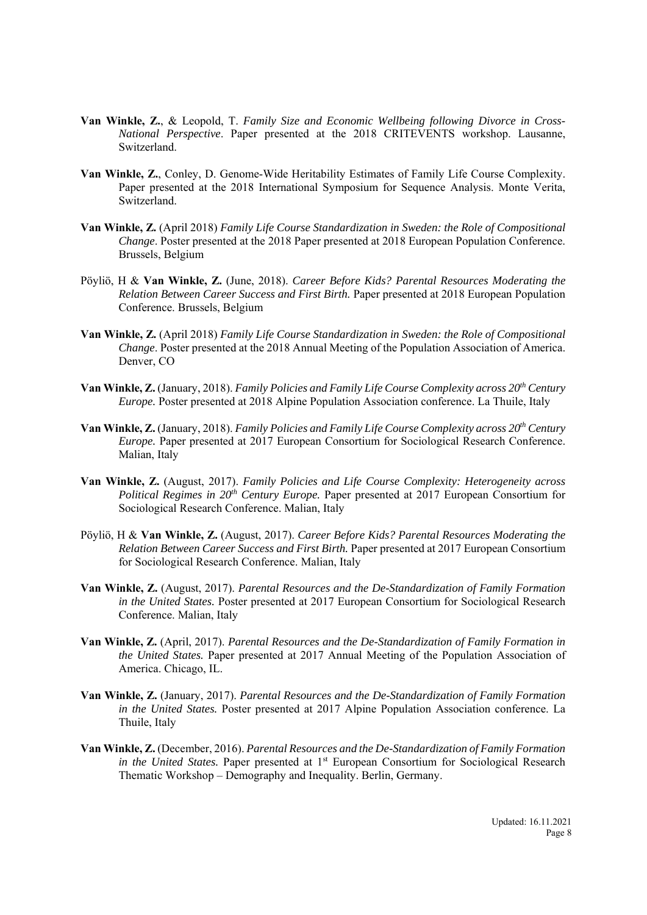- **Van Winkle, Z.**, & Leopold, T. *Family Size and Economic Wellbeing following Divorce in Cross-National Perspective*. Paper presented at the 2018 CRITEVENTS workshop. Lausanne, Switzerland.
- **Van Winkle, Z.**, Conley, D. Genome-Wide Heritability Estimates of Family Life Course Complexity. Paper presented at the 2018 International Symposium for Sequence Analysis. Monte Verita, Switzerland.
- **Van Winkle, Z.** (April 2018) *Family Life Course Standardization in Sweden: the Role of Compositional Change*. Poster presented at the 2018 Paper presented at 2018 European Population Conference. Brussels, Belgium
- Pöyliö, H & **Van Winkle, Z.** (June, 2018). *Career Before Kids? Parental Resources Moderating the Relation Between Career Success and First Birth.* Paper presented at 2018 European Population Conference. Brussels, Belgium
- **Van Winkle, Z.** (April 2018) *Family Life Course Standardization in Sweden: the Role of Compositional Change*. Poster presented at the 2018 Annual Meeting of the Population Association of America. Denver, CO
- **Van Winkle, Z.** (January, 2018). *Family Policies and Family Life Course Complexity across*  $20<sup>th</sup>$  Century *Europe*. Poster presented at 2018 Alpine Population Association conference. La Thuile, Italy
- **Van Winkle, Z.** (January, 2018). *Family Policies and Family Life Course Complexity across 20<sup>th</sup> Century Europe*. Paper presented at 2017 European Consortium for Sociological Research Conference. Malian, Italy
- **Van Winkle, Z.** (August, 2017). *Family Policies and Life Course Complexity: Heterogeneity across Political Regimes in 20<sup>th</sup> Century Europe.* Paper presented at 2017 European Consortium for Sociological Research Conference. Malian, Italy
- Pöyliö, H & **Van Winkle, Z.** (August, 2017). *Career Before Kids? Parental Resources Moderating the Relation Between Career Success and First Birth.* Paper presented at 2017 European Consortium for Sociological Research Conference. Malian, Italy
- **Van Winkle, Z.** (August, 2017). *Parental Resources and the De-Standardization of Family Formation in the United States.* Poster presented at 2017 European Consortium for Sociological Research Conference. Malian, Italy
- **Van Winkle, Z.** (April, 2017). *Parental Resources and the De-Standardization of Family Formation in the United States.* Paper presented at 2017 Annual Meeting of the Population Association of America. Chicago, IL.
- **Van Winkle, Z.** (January, 2017). *Parental Resources and the De-Standardization of Family Formation in the United States.* Poster presented at 2017 Alpine Population Association conference. La Thuile, Italy
- **Van Winkle, Z.** (December, 2016). *Parental Resources and the De-Standardization of Family Formation in the United States.* Paper presented at 1<sup>st</sup> European Consortium for Sociological Research Thematic Workshop – Demography and Inequality. Berlin, Germany.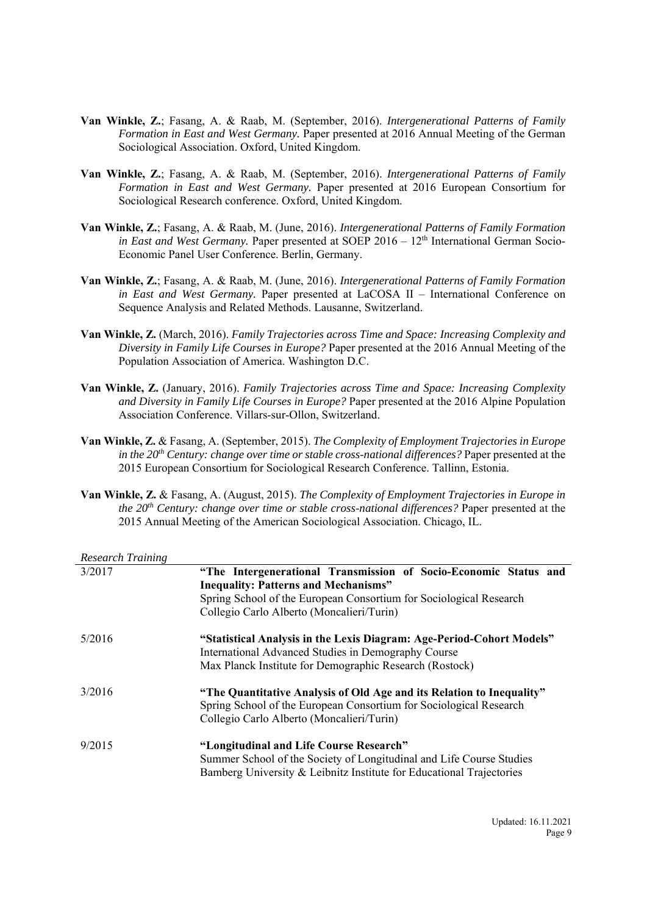- **Van Winkle, Z.**; Fasang, A. & Raab, M. (September, 2016). *Intergenerational Patterns of Family Formation in East and West Germany.* Paper presented at 2016 Annual Meeting of the German Sociological Association. Oxford, United Kingdom.
- **Van Winkle, Z.**; Fasang, A. & Raab, M. (September, 2016). *Intergenerational Patterns of Family Formation in East and West Germany.* Paper presented at 2016 European Consortium for Sociological Research conference. Oxford, United Kingdom.
- **Van Winkle, Z.**; Fasang, A. & Raab, M. (June, 2016). *Intergenerational Patterns of Family Formation in East and West Germany.* Paper presented at SOEP 2016 – 12<sup>th</sup> International German Socio-Economic Panel User Conference. Berlin, Germany.
- **Van Winkle, Z.**; Fasang, A. & Raab, M. (June, 2016). *Intergenerational Patterns of Family Formation in East and West Germany.* Paper presented at LaCOSA II – International Conference on Sequence Analysis and Related Methods. Lausanne, Switzerland.
- **Van Winkle, Z.** (March, 2016). *Family Trajectories across Time and Space: Increasing Complexity and Diversity in Family Life Courses in Europe?* Paper presented at the 2016 Annual Meeting of the Population Association of America. Washington D.C.
- **Van Winkle, Z.** (January, 2016). *Family Trajectories across Time and Space: Increasing Complexity and Diversity in Family Life Courses in Europe?* Paper presented at the 2016 Alpine Population Association Conference. Villars-sur-Ollon, Switzerland.
- **Van Winkle, Z.** & Fasang, A. (September, 2015). *The Complexity of Employment Trajectories in Europe in the 20th Century: change over time or stable cross-national differences?* Paper presented at the 2015 European Consortium for Sociological Research Conference. Tallinn, Estonia.
- **Van Winkle, Z.** & Fasang, A. (August, 2015). *The Complexity of Employment Trajectories in Europe in the 20th Century: change over time or stable cross-national differences?* Paper presented at the 2015 Annual Meeting of the American Sociological Association. Chicago, IL.

| <b>Research Training</b> |                                                                                                                                                                                                                                    |
|--------------------------|------------------------------------------------------------------------------------------------------------------------------------------------------------------------------------------------------------------------------------|
| 3/2017                   | "The Intergenerational Transmission of Socio-Economic Status and<br><b>Inequality: Patterns and Mechanisms"</b><br>Spring School of the European Consortium for Sociological Research<br>Collegio Carlo Alberto (Moncalieri/Turin) |
| 5/2016                   | "Statistical Analysis in the Lexis Diagram: Age-Period-Cohort Models"<br>International Advanced Studies in Demography Course<br>Max Planck Institute for Demographic Research (Rostock)                                            |
| 3/2016                   | "The Quantitative Analysis of Old Age and its Relation to Inequality"<br>Spring School of the European Consortium for Sociological Research<br>Collegio Carlo Alberto (Moncalieri/Turin)                                           |
| 9/2015                   | "Longitudinal and Life Course Research"<br>Summer School of the Society of Longitudinal and Life Course Studies<br>Bamberg University & Leibnitz Institute for Educational Trajectories                                            |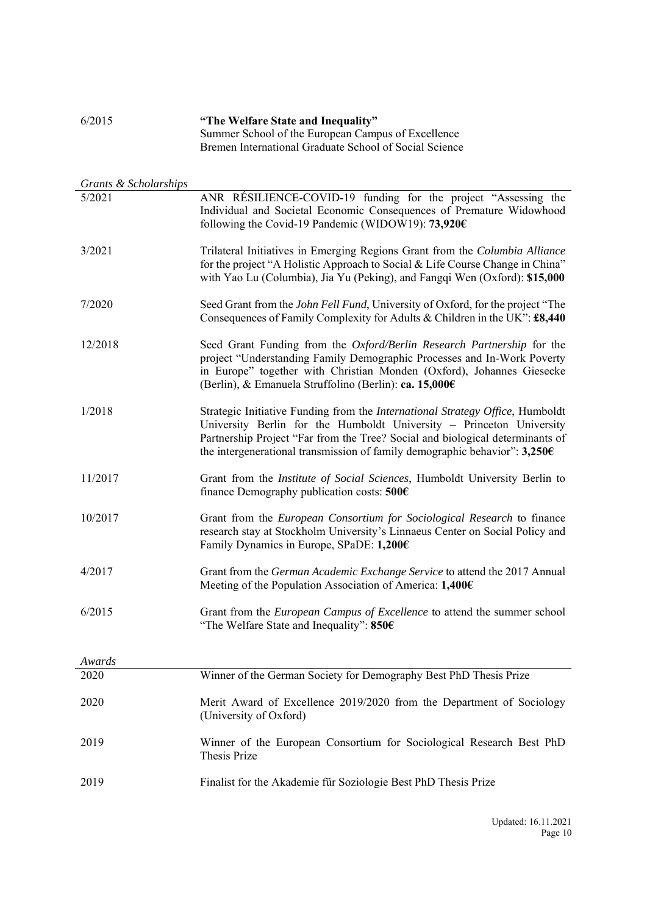| 6/2015                | "The Welfare State and Inequality"<br>Summer School of the European Campus of Excellence<br>Bremen International Graduate School of Social Science                                                                                                                                                                   |
|-----------------------|----------------------------------------------------------------------------------------------------------------------------------------------------------------------------------------------------------------------------------------------------------------------------------------------------------------------|
| Grants & Scholarships |                                                                                                                                                                                                                                                                                                                      |
| 5/2021                | ANR RÉSILIENCE-COVID-19 funding for the project "Assessing the<br>Individual and Societal Economic Consequences of Premature Widowhood<br>following the Covid-19 Pandemic (WIDOW19): $73,920 \in$                                                                                                                    |
| 3/2021                | Trilateral Initiatives in Emerging Regions Grant from the Columbia Alliance<br>for the project "A Holistic Approach to Social & Life Course Change in China"<br>with Yao Lu (Columbia), Jia Yu (Peking), and Fangqi Wen (Oxford): \$15,000                                                                           |
| 7/2020                | Seed Grant from the John Fell Fund, University of Oxford, for the project "The<br>Consequences of Family Complexity for Adults & Children in the UK": £8,440                                                                                                                                                         |
| 12/2018               | Seed Grant Funding from the Oxford/Berlin Research Partnership for the<br>project "Understanding Family Demographic Processes and In-Work Poverty<br>in Europe" together with Christian Monden (Oxford), Johannes Giesecke<br>(Berlin), & Emanuela Struffolino (Berlin): ca. 15,000€                                 |
| 1/2018                | Strategic Initiative Funding from the International Strategy Office, Humboldt<br>University Berlin for the Humboldt University - Princeton University<br>Partnership Project "Far from the Tree? Social and biological determinants of<br>the intergenerational transmission of family demographic behavior": 3,250€ |
| 11/2017               | Grant from the <i>Institute of Social Sciences</i> , Humboldt University Berlin to<br>finance Demography publication costs: $500 \in$                                                                                                                                                                                |
| 10/2017               | Grant from the European Consortium for Sociological Research to finance<br>research stay at Stockholm University's Linnaeus Center on Social Policy and<br>Family Dynamics in Europe, SPaDE: 1,200€                                                                                                                  |
| 4/2017                | Grant from the German Academic Exchange Service to attend the 2017 Annual<br>Meeting of the Population Association of America: 1,400€                                                                                                                                                                                |
| 6/2015                | Grant from the European Campus of Excellence to attend the summer school<br>"The Welfare State and Inequality": 850€                                                                                                                                                                                                 |
| Awards                |                                                                                                                                                                                                                                                                                                                      |
| 2020                  | Winner of the German Society for Demography Best PhD Thesis Prize                                                                                                                                                                                                                                                    |
| 2020                  | Merit Award of Excellence 2019/2020 from the Department of Sociology<br>(University of Oxford)                                                                                                                                                                                                                       |
| 2019                  | Winner of the European Consortium for Sociological Research Best PhD<br>Thesis Prize                                                                                                                                                                                                                                 |
| 2019                  | Finalist for the Akademie für Soziologie Best PhD Thesis Prize                                                                                                                                                                                                                                                       |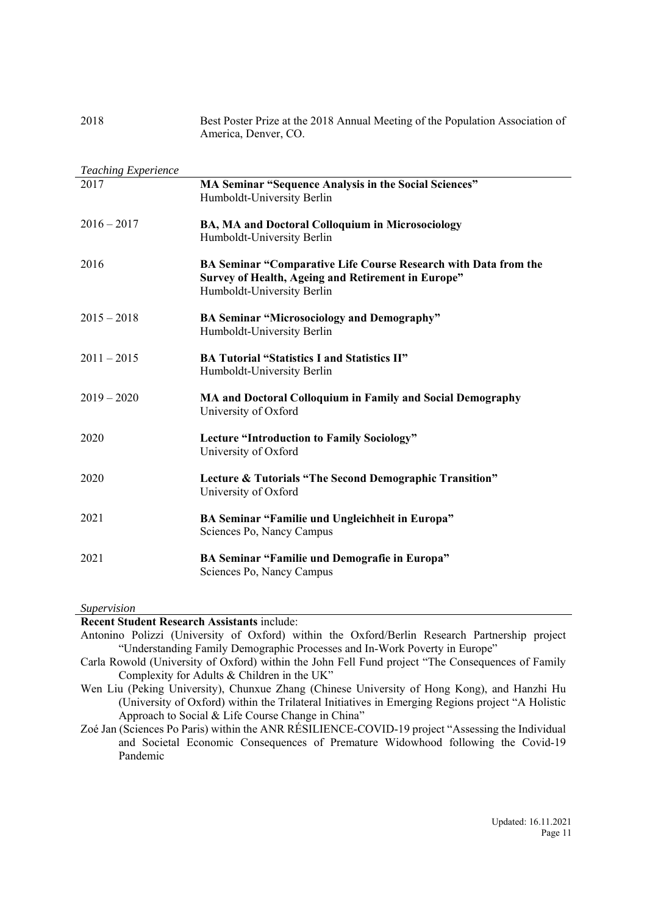| 2018                       | Best Poster Prize at the 2018 Annual Meeting of the Population Association of<br>America, Denver, CO.                                               |
|----------------------------|-----------------------------------------------------------------------------------------------------------------------------------------------------|
| <b>Teaching Experience</b> |                                                                                                                                                     |
| 2017                       | MA Seminar "Sequence Analysis in the Social Sciences"<br>Humboldt-University Berlin                                                                 |
| $2016 - 2017$              | BA, MA and Doctoral Colloquium in Microsociology<br>Humboldt-University Berlin                                                                      |
| 2016                       | BA Seminar "Comparative Life Course Research with Data from the<br>Survey of Health, Ageing and Retirement in Europe"<br>Humboldt-University Berlin |
| $2015 - 2018$              | <b>BA Seminar "Microsociology and Demography"</b><br>Humboldt-University Berlin                                                                     |
| $2011 - 2015$              | <b>BA Tutorial "Statistics I and Statistics II"</b><br>Humboldt-University Berlin                                                                   |
| $2019 - 2020$              | MA and Doctoral Colloquium in Family and Social Demography<br>University of Oxford                                                                  |
| 2020                       | <b>Lecture "Introduction to Family Sociology"</b><br>University of Oxford                                                                           |
| 2020                       | Lecture & Tutorials "The Second Demographic Transition"<br>University of Oxford                                                                     |
| 2021                       | BA Seminar "Familie und Ungleichheit in Europa"<br>Sciences Po, Nancy Campus                                                                        |
| 2021                       | BA Seminar "Familie und Demografie in Europa"<br>Sciences Po, Nancy Campus                                                                          |

*Supervision* 

## **Recent Student Research Assistants** include:

Antonino Polizzi (University of Oxford) within the Oxford/Berlin Research Partnership project "Understanding Family Demographic Processes and In-Work Poverty in Europe"

Carla Rowold (University of Oxford) within the John Fell Fund project "The Consequences of Family Complexity for Adults & Children in the UK"

Wen Liu (Peking University), Chunxue Zhang (Chinese University of Hong Kong), and Hanzhi Hu (University of Oxford) within the Trilateral Initiatives in Emerging Regions project "A Holistic Approach to Social & Life Course Change in China"

Zoé Jan (Sciences Po Paris) within the ANR RÉSILIENCE-COVID-19 project "Assessing the Individual and Societal Economic Consequences of Premature Widowhood following the Covid-19 Pandemic